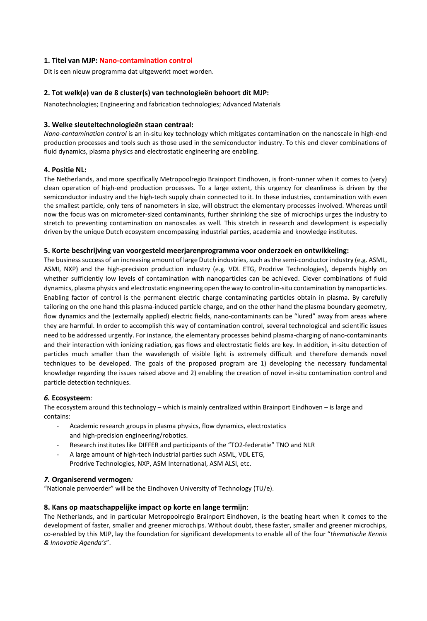# **1. Titel van MJP: Nano-contamination control**

Dit is een nieuw programma dat uitgewerkt moet worden.

### **2. Tot welk(e) van de 8 cluster(s) van technologieën behoort dit MJP:**

Nanotechnologies; Engineering and fabrication technologies; Advanced Materials

### **3. Welke sleuteltechnologieën staan centraal:**

*Nano-contamination control* is an in-situ key technology which mitigates contamination on the nanoscale in high-end production processes and tools such as those used in the semiconductor industry. To this end clever combinations of fluid dynamics, plasma physics and electrostatic engineering are enabling.

### **4. Positie NL:**

The Netherlands, and more specifically Metropoolregio Brainport Eindhoven, is front-runner when it comes to (very) clean operation of high-end production processes. To a large extent, this urgency for cleanliness is driven by the semiconductor industry and the high-tech supply chain connected to it. In these industries, contamination with even the smallest particle, only tens of nanometers in size, will obstruct the elementary processes involved. Whereas until now the focus was on micrometer-sized contaminants, further shrinking the size of microchips urges the industry to stretch to preventing contamination on nanoscales as well. This stretch in research and development is especially driven by the unique Dutch ecosystem encompassing industrial parties, academia and knowledge institutes.

### **5. Korte beschrijving van voorgesteld meerjarenprogramma voor onderzoek en ontwikkeling:**

The business success of an increasing amount of large Dutch industries, such as the semi-conductor industry (e.g. ASML, ASMI, NXP) and the high-precision production industry (e.g. VDL ETG, Prodrive Technologies), depends highly on whether sufficiently low levels of contamination with nanoparticles can be achieved. Clever combinations of fluid dynamics, plasma physics and electrostatic engineering open the way to control in-situ contamination by nanoparticles. Enabling factor of control is the permanent electric charge contaminating particles obtain in plasma. By carefully tailoring on the one hand this plasma-induced particle charge, and on the other hand the plasma boundary geometry, flow dynamics and the (externally applied) electric fields, nano-contaminants can be "lured" away from areas where they are harmful. In order to accomplish this way of contamination control, several technological and scientific issues need to be addressed urgently. For instance, the elementary processes behind plasma-charging of nano-contaminants and their interaction with ionizing radiation, gas flows and electrostatic fields are key. In addition, in-situ detection of particles much smaller than the wavelength of visible light is extremely difficult and therefore demands novel techniques to be developed. The goals of the proposed program are 1) developing the necessary fundamental knowledge regarding the issues raised above and 2) enabling the creation of novel in-situ contamination control and particle detection techniques.

### *6.* **Ecosysteem***:*

The ecosystem around this technology – which is mainly centralized within Brainport Eindhoven – is large and contains:

- Academic research groups in plasma physics, flow dynamics, electrostatics and high-precision engineering/robotics.
- Research institutes like DIFFER and participants of the "TO2-federatie" TNO and NLR
- A large amount of high-tech industrial parties such ASML, VDL ETG, Prodrive Technologies, NXP, ASM International, ASM ALSI, etc.

### *7.* **Organiserend vermogen***:*

"Nationale penvoerder" will be the Eindhoven University of Technology (TU/e).

### **8. Kans op maatschappelijke impact op korte en lange termijn**:

The Netherlands, and in particular Metropoolregio Brainport Eindhoven, is the beating heart when it comes to the development of faster, smaller and greener microchips. Without doubt, these faster, smaller and greener microchips, co-enabled by this MJP, lay the foundation for significant developments to enable all of the four "*thematische Kennis & Innovatie Agenda's*".